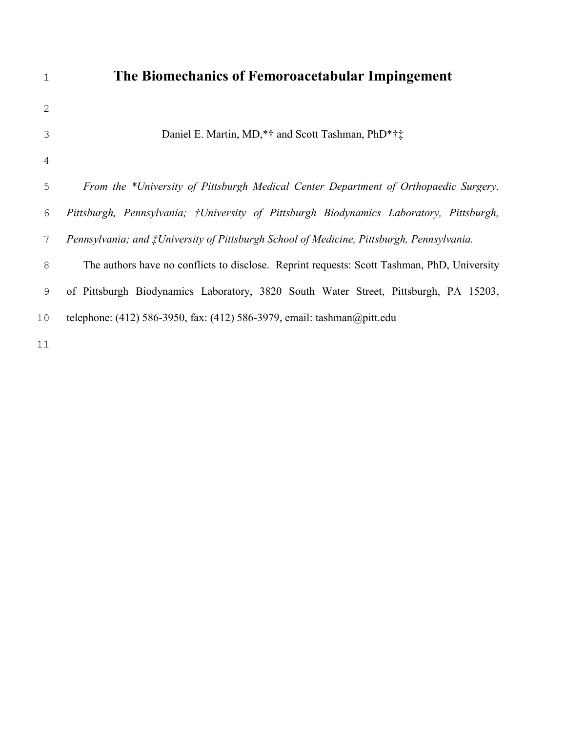| $\mathbf 1$  | The Biomechanics of Femoroacetabular Impingement                                                  |
|--------------|---------------------------------------------------------------------------------------------------|
| $\mathbf{2}$ |                                                                                                   |
| 3            | Daniel E. Martin, MD,*† and Scott Tashman, PhD*†‡                                                 |
| 4            |                                                                                                   |
| 5            | From the *University of Pittsburgh Medical Center Department of Orthopaedic Surgery,              |
| 6            | Pittsburgh, Pennsylvania; †University of Pittsburgh Biodynamics Laboratory, Pittsburgh,           |
| 7            | Pennsylvania; and <i>†University of Pittsburgh School of Medicine</i> , Pittsburgh, Pennsylvania. |
| $8\,$        | The authors have no conflicts to disclose. Reprint requests: Scott Tashman, PhD, University       |
| 9            | of Pittsburgh Biodynamics Laboratory, 3820 South Water Street, Pittsburgh, PA 15203,              |
| 10           | telephone: $(412)$ 586-3950, fax: $(412)$ 586-3979, email: tashman@pitt.edu                       |
| 11           |                                                                                                   |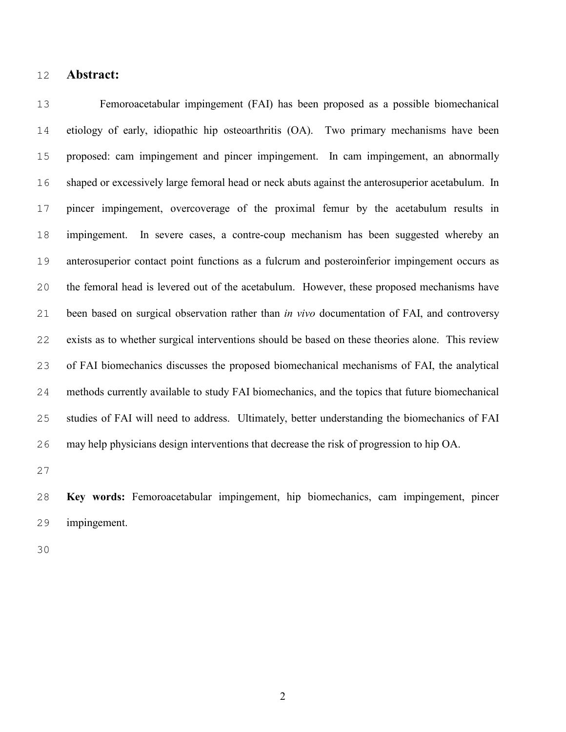#### **Abstract:**

Femoroacetabular impingement (FAI) has been proposed as a possible biomechanical etiology of early, idiopathic hip osteoarthritis (OA). Two primary mechanisms have been proposed: cam impingement and pincer impingement. In cam impingement, an abnormally shaped or excessively large femoral head or neck abuts against the anterosuperior acetabulum. In pincer impingement, overcoverage of the proximal femur by the acetabulum results in impingement. In severe cases, a contre-coup mechanism has been suggested whereby an anterosuperior contact point functions as a fulcrum and posteroinferior impingement occurs as the femoral head is levered out of the acetabulum. However, these proposed mechanisms have been based on surgical observation rather than *in vivo* documentation of FAI, and controversy exists as to whether surgical interventions should be based on these theories alone. This review of FAI biomechanics discusses the proposed biomechanical mechanisms of FAI, the analytical methods currently available to study FAI biomechanics, and the topics that future biomechanical studies of FAI will need to address. Ultimately, better understanding the biomechanics of FAI may help physicians design interventions that decrease the risk of progression to hip OA.

**Key words:** Femoroacetabular impingement, hip biomechanics, cam impingement, pincer impingement.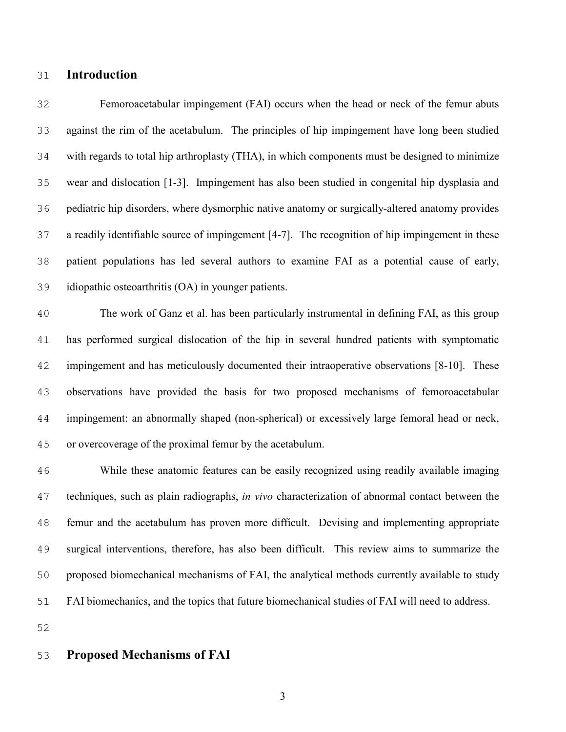#### **Introduction**

Femoroacetabular impingement (FAI) occurs when the head or neck of the femur abuts against the rim of the acetabulum. The principles of hip impingement have long been studied with regards to total hip arthroplasty (THA), in which components must be designed to minimize wear and dislocation [1-3]. Impingement has also been studied in congenital hip dysplasia and pediatric hip disorders, where dysmorphic native anatomy or surgically-altered anatomy provides a readily identifiable source of impingement [4-7]. The recognition of hip impingement in these patient populations has led several authors to examine FAI as a potential cause of early, idiopathic osteoarthritis (OA) in younger patients.

The work of Ganz et al. has been particularly instrumental in defining FAI, as this group has performed surgical dislocation of the hip in several hundred patients with symptomatic impingement and has meticulously documented their intraoperative observations [8-10]. These observations have provided the basis for two proposed mechanisms of femoroacetabular impingement: an abnormally shaped (non-spherical) or excessively large femoral head or neck, or overcoverage of the proximal femur by the acetabulum.

While these anatomic features can be easily recognized using readily available imaging techniques, such as plain radiographs, *in vivo* characterization of abnormal contact between the femur and the acetabulum has proven more difficult. Devising and implementing appropriate surgical interventions, therefore, has also been difficult. This review aims to summarize the proposed biomechanical mechanisms of FAI, the analytical methods currently available to study FAI biomechanics, and the topics that future biomechanical studies of FAI will need to address.

#### **Proposed Mechanisms of FAI**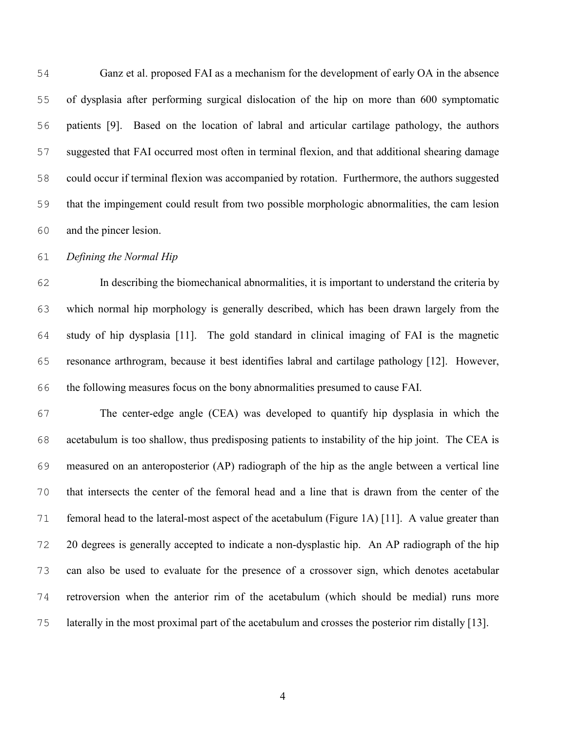Ganz et al. proposed FAI as a mechanism for the development of early OA in the absence of dysplasia after performing surgical dislocation of the hip on more than 600 symptomatic patients [9]. Based on the location of labral and articular cartilage pathology, the authors suggested that FAI occurred most often in terminal flexion, and that additional shearing damage could occur if terminal flexion was accompanied by rotation. Furthermore, the authors suggested that the impingement could result from two possible morphologic abnormalities, the cam lesion and the pincer lesion.

*Defining the Normal Hip* 

In describing the biomechanical abnormalities, it is important to understand the criteria by which normal hip morphology is generally described, which has been drawn largely from the study of hip dysplasia [11]. The gold standard in clinical imaging of FAI is the magnetic resonance arthrogram, because it best identifies labral and cartilage pathology [12]. However, the following measures focus on the bony abnormalities presumed to cause FAI.

The center-edge angle (CEA) was developed to quantify hip dysplasia in which the acetabulum is too shallow, thus predisposing patients to instability of the hip joint. The CEA is measured on an anteroposterior (AP) radiograph of the hip as the angle between a vertical line that intersects the center of the femoral head and a line that is drawn from the center of the 71 femoral head to the lateral-most aspect of the acetabulum (Figure 1A) [11]. A value greater than 20 degrees is generally accepted to indicate a non-dysplastic hip. An AP radiograph of the hip can also be used to evaluate for the presence of a crossover sign, which denotes acetabular retroversion when the anterior rim of the acetabulum (which should be medial) runs more laterally in the most proximal part of the acetabulum and crosses the posterior rim distally [13].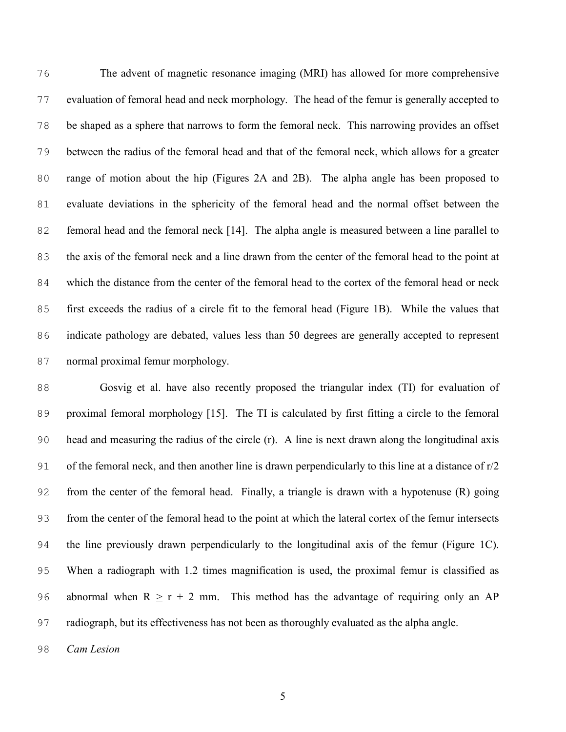The advent of magnetic resonance imaging (MRI) has allowed for more comprehensive evaluation of femoral head and neck morphology. The head of the femur is generally accepted to be shaped as a sphere that narrows to form the femoral neck. This narrowing provides an offset between the radius of the femoral head and that of the femoral neck, which allows for a greater range of motion about the hip (Figures 2A and 2B). The alpha angle has been proposed to evaluate deviations in the sphericity of the femoral head and the normal offset between the femoral head and the femoral neck [14]. The alpha angle is measured between a line parallel to the axis of the femoral neck and a line drawn from the center of the femoral head to the point at which the distance from the center of the femoral head to the cortex of the femoral head or neck first exceeds the radius of a circle fit to the femoral head (Figure 1B). While the values that indicate pathology are debated, values less than 50 degrees are generally accepted to represent normal proximal femur morphology.

Gosvig et al. have also recently proposed the triangular index (TI) for evaluation of proximal femoral morphology [15]. The TI is calculated by first fitting a circle to the femoral head and measuring the radius of the circle (r). A line is next drawn along the longitudinal axis of the femoral neck, and then another line is drawn perpendicularly to this line at a distance of r/2 from the center of the femoral head. Finally, a triangle is drawn with a hypotenuse (R) going from the center of the femoral head to the point at which the lateral cortex of the femur intersects the line previously drawn perpendicularly to the longitudinal axis of the femur (Figure 1C). When a radiograph with 1.2 times magnification is used, the proximal femur is classified as 96 abnormal when  $R > r + 2$  mm. This method has the advantage of requiring only an AP radiograph, but its effectiveness has not been as thoroughly evaluated as the alpha angle.

*Cam Lesion*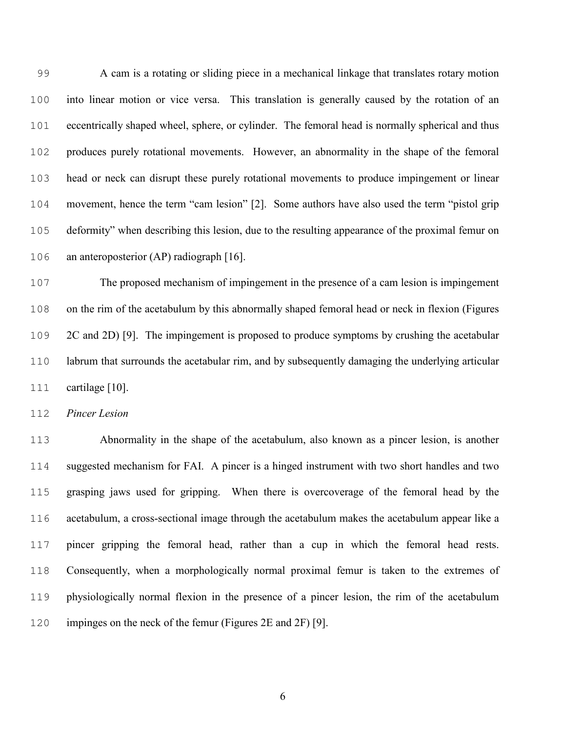A cam is a rotating or sliding piece in a mechanical linkage that translates rotary motion into linear motion or vice versa. This translation is generally caused by the rotation of an eccentrically shaped wheel, sphere, or cylinder. The femoral head is normally spherical and thus produces purely rotational movements. However, an abnormality in the shape of the femoral head or neck can disrupt these purely rotational movements to produce impingement or linear movement, hence the term "cam lesion" [2]. Some authors have also used the term "pistol grip deformity" when describing this lesion, due to the resulting appearance of the proximal femur on an anteroposterior (AP) radiograph [16].

The proposed mechanism of impingement in the presence of a cam lesion is impingement on the rim of the acetabulum by this abnormally shaped femoral head or neck in flexion (Figures 2C and 2D) [9]. The impingement is proposed to produce symptoms by crushing the acetabular labrum that surrounds the acetabular rim, and by subsequently damaging the underlying articular cartilage [10].

*Pincer Lesion* 

Abnormality in the shape of the acetabulum, also known as a pincer lesion, is another suggested mechanism for FAI. A pincer is a hinged instrument with two short handles and two grasping jaws used for gripping. When there is overcoverage of the femoral head by the acetabulum, a cross-sectional image through the acetabulum makes the acetabulum appear like a pincer gripping the femoral head, rather than a cup in which the femoral head rests. Consequently, when a morphologically normal proximal femur is taken to the extremes of physiologically normal flexion in the presence of a pincer lesion, the rim of the acetabulum impinges on the neck of the femur (Figures 2E and 2F) [9].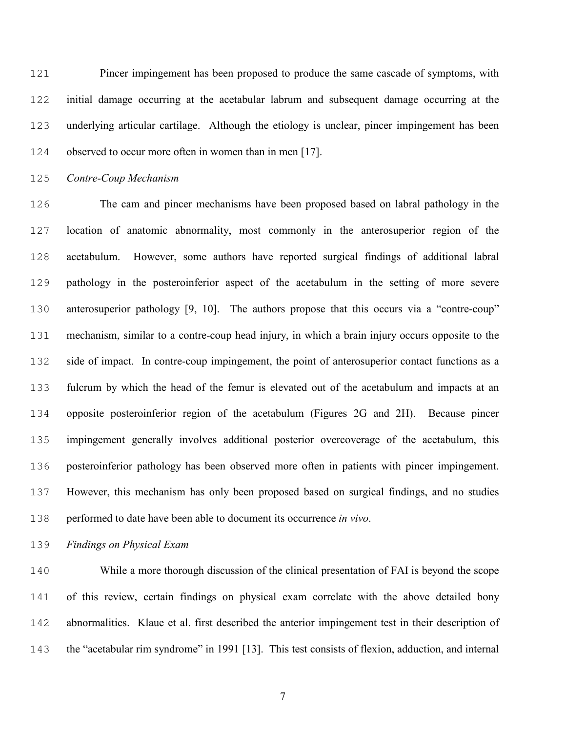Pincer impingement has been proposed to produce the same cascade of symptoms, with initial damage occurring at the acetabular labrum and subsequent damage occurring at the underlying articular cartilage. Although the etiology is unclear, pincer impingement has been observed to occur more often in women than in men [17].

*Contre-Coup Mechanism* 

The cam and pincer mechanisms have been proposed based on labral pathology in the location of anatomic abnormality, most commonly in the anterosuperior region of the acetabulum. However, some authors have reported surgical findings of additional labral pathology in the posteroinferior aspect of the acetabulum in the setting of more severe anterosuperior pathology [9, 10]. The authors propose that this occurs via a "contre-coup" mechanism, similar to a contre-coup head injury, in which a brain injury occurs opposite to the side of impact. In contre-coup impingement, the point of anterosuperior contact functions as a fulcrum by which the head of the femur is elevated out of the acetabulum and impacts at an opposite posteroinferior region of the acetabulum (Figures 2G and 2H). Because pincer impingement generally involves additional posterior overcoverage of the acetabulum, this posteroinferior pathology has been observed more often in patients with pincer impingement. However, this mechanism has only been proposed based on surgical findings, and no studies performed to date have been able to document its occurrence *in vivo*.

*Findings on Physical Exam* 

While a more thorough discussion of the clinical presentation of FAI is beyond the scope of this review, certain findings on physical exam correlate with the above detailed bony abnormalities. Klaue et al. first described the anterior impingement test in their description of the "acetabular rim syndrome" in 1991 [13]. This test consists of flexion, adduction, and internal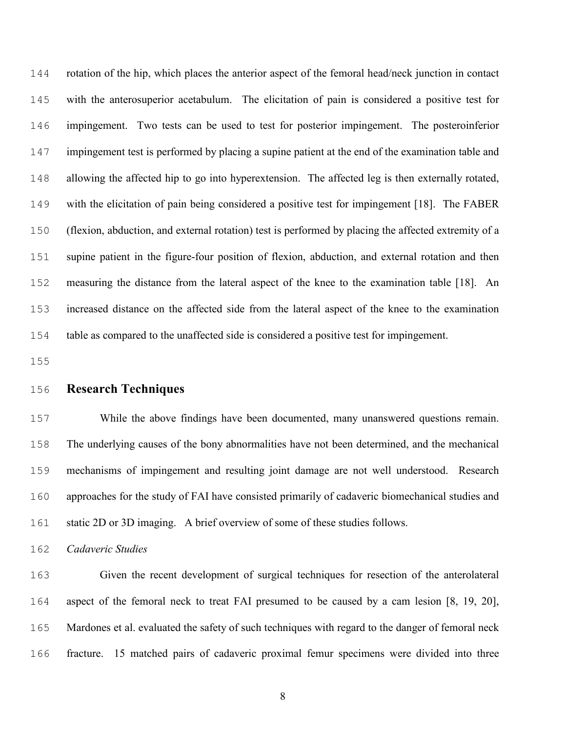rotation of the hip, which places the anterior aspect of the femoral head/neck junction in contact with the anterosuperior acetabulum. The elicitation of pain is considered a positive test for impingement. Two tests can be used to test for posterior impingement. The posteroinferior impingement test is performed by placing a supine patient at the end of the examination table and allowing the affected hip to go into hyperextension. The affected leg is then externally rotated, with the elicitation of pain being considered a positive test for impingement [18]. The FABER (flexion, abduction, and external rotation) test is performed by placing the affected extremity of a supine patient in the figure-four position of flexion, abduction, and external rotation and then measuring the distance from the lateral aspect of the knee to the examination table [18]. An increased distance on the affected side from the lateral aspect of the knee to the examination table as compared to the unaffected side is considered a positive test for impingement.

#### **Research Techniques**

While the above findings have been documented, many unanswered questions remain. The underlying causes of the bony abnormalities have not been determined, and the mechanical mechanisms of impingement and resulting joint damage are not well understood. Research approaches for the study of FAI have consisted primarily of cadaveric biomechanical studies and static 2D or 3D imaging. A brief overview of some of these studies follows.

*Cadaveric Studies* 

Given the recent development of surgical techniques for resection of the anterolateral aspect of the femoral neck to treat FAI presumed to be caused by a cam lesion [8, 19, 20], Mardones et al. evaluated the safety of such techniques with regard to the danger of femoral neck fracture. 15 matched pairs of cadaveric proximal femur specimens were divided into three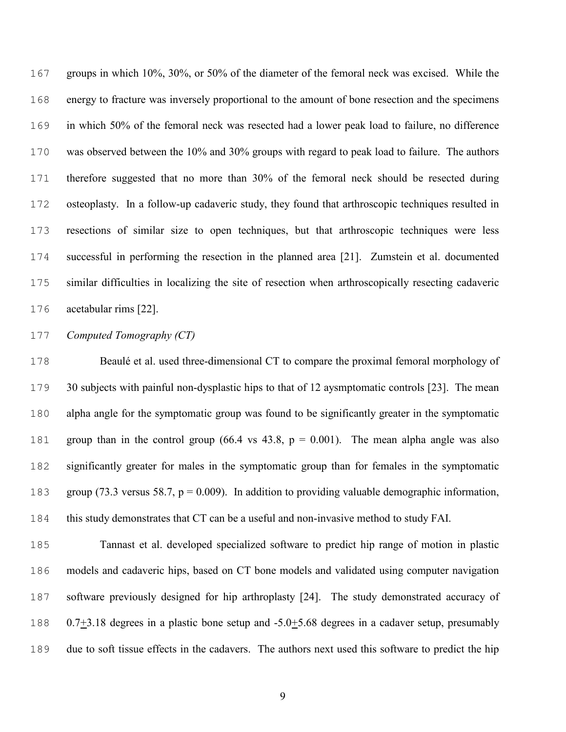groups in which 10%, 30%, or 50% of the diameter of the femoral neck was excised. While the energy to fracture was inversely proportional to the amount of bone resection and the specimens in which 50% of the femoral neck was resected had a lower peak load to failure, no difference was observed between the 10% and 30% groups with regard to peak load to failure. The authors therefore suggested that no more than 30% of the femoral neck should be resected during osteoplasty. In a follow-up cadaveric study, they found that arthroscopic techniques resulted in resections of similar size to open techniques, but that arthroscopic techniques were less successful in performing the resection in the planned area [21]. Zumstein et al. documented similar difficulties in localizing the site of resection when arthroscopically resecting cadaveric acetabular rims [22].

#### *Computed Tomography (CT)*

Beaulé et al. used three-dimensional CT to compare the proximal femoral morphology of 30 subjects with painful non-dysplastic hips to that of 12 aysmptomatic controls [23]. The mean alpha angle for the symptomatic group was found to be significantly greater in the symptomatic 181 group than in the control group  $(66.4 \text{ vs } 43.8, p = 0.001)$ . The mean alpha angle was also significantly greater for males in the symptomatic group than for females in the symptomatic group (73.3 versus 58.7, p = 0.009). In addition to providing valuable demographic information, this study demonstrates that CT can be a useful and non-invasive method to study FAI.

Tannast et al. developed specialized software to predict hip range of motion in plastic models and cadaveric hips, based on CT bone models and validated using computer navigation software previously designed for hip arthroplasty [24]. The study demonstrated accuracy of 188 0.7 $\pm$ 3.18 degrees in a plastic bone setup and -5.0 $\pm$ 5.68 degrees in a cadaver setup, presumably due to soft tissue effects in the cadavers. The authors next used this software to predict the hip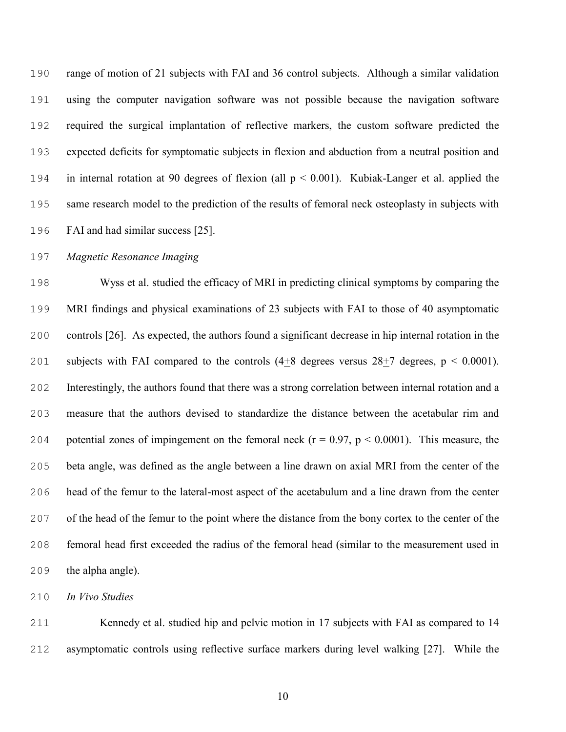range of motion of 21 subjects with FAI and 36 control subjects. Although a similar validation using the computer navigation software was not possible because the navigation software required the surgical implantation of reflective markers, the custom software predicted the expected deficits for symptomatic subjects in flexion and abduction from a neutral position and in internal rotation at 90 degrees of flexion (all p < 0.001). Kubiak-Langer et al. applied the same research model to the prediction of the results of femoral neck osteoplasty in subjects with FAI and had similar success [25].

#### *Magnetic Resonance Imaging*

Wyss et al. studied the efficacy of MRI in predicting clinical symptoms by comparing the MRI findings and physical examinations of 23 subjects with FAI to those of 40 asymptomatic controls [26]. As expected, the authors found a significant decrease in hip internal rotation in the 201 subjects with FAI compared to the controls  $(4\pm 8)$  degrees versus  $28+7$  degrees, p < 0.0001). Interestingly, the authors found that there was a strong correlation between internal rotation and a measure that the authors devised to standardize the distance between the acetabular rim and 204 potential zones of impingement on the femoral neck  $(r = 0.97, p < 0.0001)$ . This measure, the beta angle, was defined as the angle between a line drawn on axial MRI from the center of the head of the femur to the lateral-most aspect of the acetabulum and a line drawn from the center of the head of the femur to the point where the distance from the bony cortex to the center of the femoral head first exceeded the radius of the femoral head (similar to the measurement used in the alpha angle).

*In Vivo Studies* 

Kennedy et al. studied hip and pelvic motion in 17 subjects with FAI as compared to 14 asymptomatic controls using reflective surface markers during level walking [27]. While the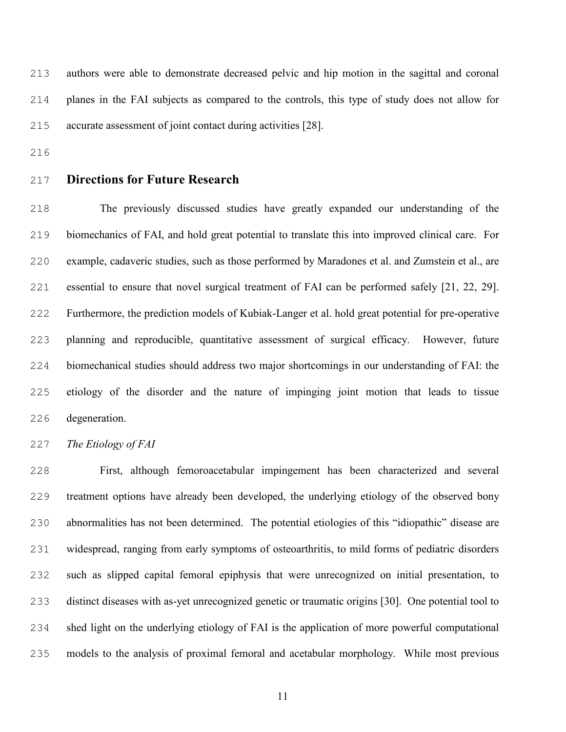authors were able to demonstrate decreased pelvic and hip motion in the sagittal and coronal planes in the FAI subjects as compared to the controls, this type of study does not allow for accurate assessment of joint contact during activities [28].

- 
- 

### **Directions for Future Research**

The previously discussed studies have greatly expanded our understanding of the biomechanics of FAI, and hold great potential to translate this into improved clinical care. For example, cadaveric studies, such as those performed by Maradones et al. and Zumstein et al., are essential to ensure that novel surgical treatment of FAI can be performed safely [21, 22, 29]. Furthermore, the prediction models of Kubiak-Langer et al. hold great potential for pre-operative planning and reproducible, quantitative assessment of surgical efficacy. However, future biomechanical studies should address two major shortcomings in our understanding of FAI: the etiology of the disorder and the nature of impinging joint motion that leads to tissue degeneration.

*The Etiology of FAI* 

First, although femoroacetabular impingement has been characterized and several treatment options have already been developed, the underlying etiology of the observed bony abnormalities has not been determined. The potential etiologies of this "idiopathic" disease are widespread, ranging from early symptoms of osteoarthritis, to mild forms of pediatric disorders such as slipped capital femoral epiphysis that were unrecognized on initial presentation, to distinct diseases with as-yet unrecognized genetic or traumatic origins [30]. One potential tool to shed light on the underlying etiology of FAI is the application of more powerful computational models to the analysis of proximal femoral and acetabular morphology. While most previous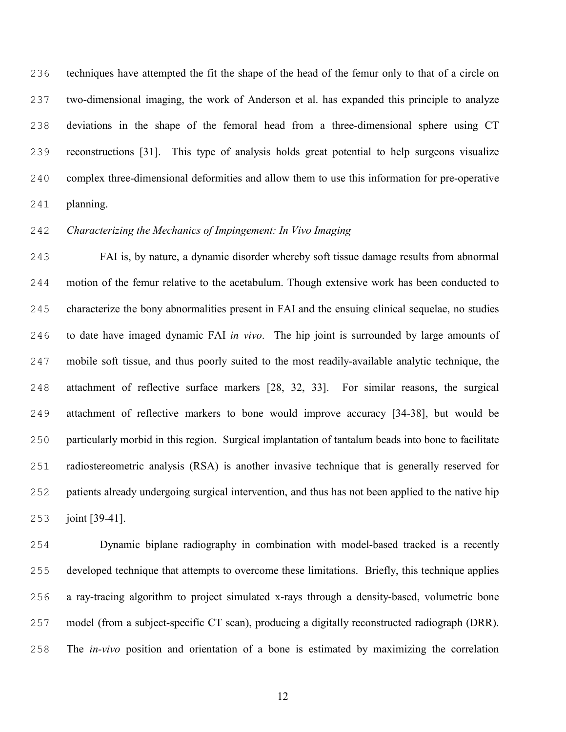techniques have attempted the fit the shape of the head of the femur only to that of a circle on two-dimensional imaging, the work of Anderson et al. has expanded this principle to analyze deviations in the shape of the femoral head from a three-dimensional sphere using CT reconstructions [31]. This type of analysis holds great potential to help surgeons visualize complex three-dimensional deformities and allow them to use this information for pre-operative planning.

#### *Characterizing the Mechanics of Impingement: In Vivo Imaging*

FAI is, by nature, a dynamic disorder whereby soft tissue damage results from abnormal motion of the femur relative to the acetabulum. Though extensive work has been conducted to characterize the bony abnormalities present in FAI and the ensuing clinical sequelae, no studies to date have imaged dynamic FAI *in vivo*. The hip joint is surrounded by large amounts of mobile soft tissue, and thus poorly suited to the most readily-available analytic technique, the attachment of reflective surface markers [28, 32, 33]. For similar reasons, the surgical attachment of reflective markers to bone would improve accuracy [34-38], but would be particularly morbid in this region. Surgical implantation of tantalum beads into bone to facilitate radiostereometric analysis (RSA) is another invasive technique that is generally reserved for patients already undergoing surgical intervention, and thus has not been applied to the native hip joint [39-41].

Dynamic biplane radiography in combination with model-based tracked is a recently developed technique that attempts to overcome these limitations. Briefly, this technique applies a ray-tracing algorithm to project simulated x-rays through a density-based, volumetric bone model (from a subject-specific CT scan), producing a digitally reconstructed radiograph (DRR). The *in-vivo* position and orientation of a bone is estimated by maximizing the correlation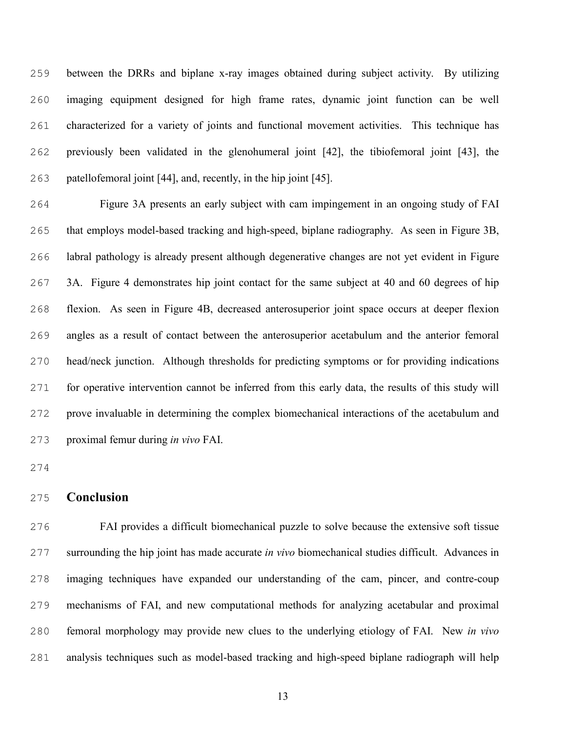between the DRRs and biplane x-ray images obtained during subject activity. By utilizing imaging equipment designed for high frame rates, dynamic joint function can be well characterized for a variety of joints and functional movement activities. This technique has previously been validated in the glenohumeral joint [42], the tibiofemoral joint [43], the patellofemoral joint [44], and, recently, in the hip joint [45].

Figure 3A presents an early subject with cam impingement in an ongoing study of FAI that employs model-based tracking and high-speed, biplane radiography. As seen in Figure 3B, labral pathology is already present although degenerative changes are not yet evident in Figure 3A. Figure 4 demonstrates hip joint contact for the same subject at 40 and 60 degrees of hip flexion. As seen in Figure 4B, decreased anterosuperior joint space occurs at deeper flexion angles as a result of contact between the anterosuperior acetabulum and the anterior femoral head/neck junction. Although thresholds for predicting symptoms or for providing indications for operative intervention cannot be inferred from this early data, the results of this study will prove invaluable in determining the complex biomechanical interactions of the acetabulum and proximal femur during *in vivo* FAI.

#### **Conclusion**

FAI provides a difficult biomechanical puzzle to solve because the extensive soft tissue surrounding the hip joint has made accurate *in vivo* biomechanical studies difficult. Advances in imaging techniques have expanded our understanding of the cam, pincer, and contre-coup mechanisms of FAI, and new computational methods for analyzing acetabular and proximal femoral morphology may provide new clues to the underlying etiology of FAI. New *in vivo* analysis techniques such as model-based tracking and high-speed biplane radiograph will help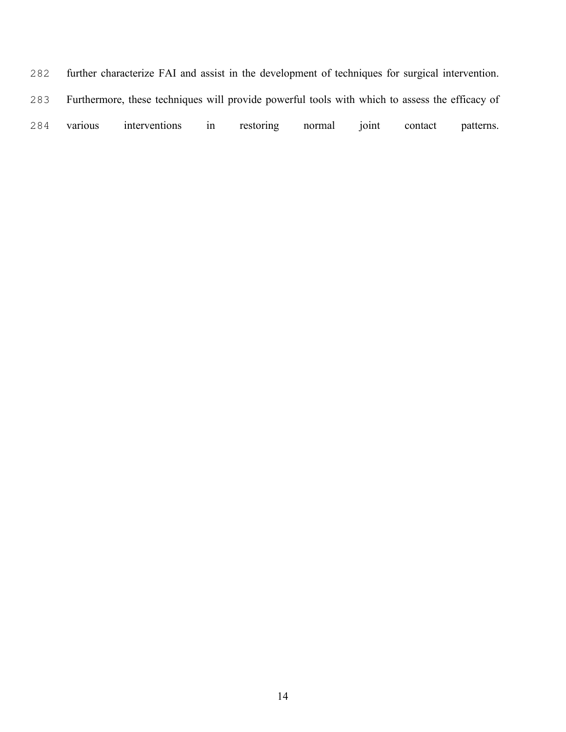further characterize FAI and assist in the development of techniques for surgical intervention. Furthermore, these techniques will provide powerful tools with which to assess the efficacy of various interventions in restoring normal joint contact patterns.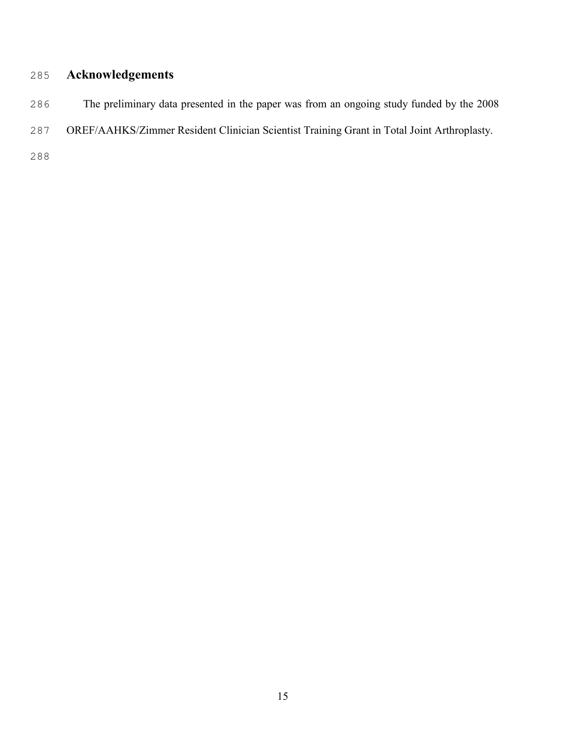## **Acknowledgements**

- The preliminary data presented in the paper was from an ongoing study funded by the 2008
- OREF/AAHKS/Zimmer Resident Clinician Scientist Training Grant in Total Joint Arthroplasty.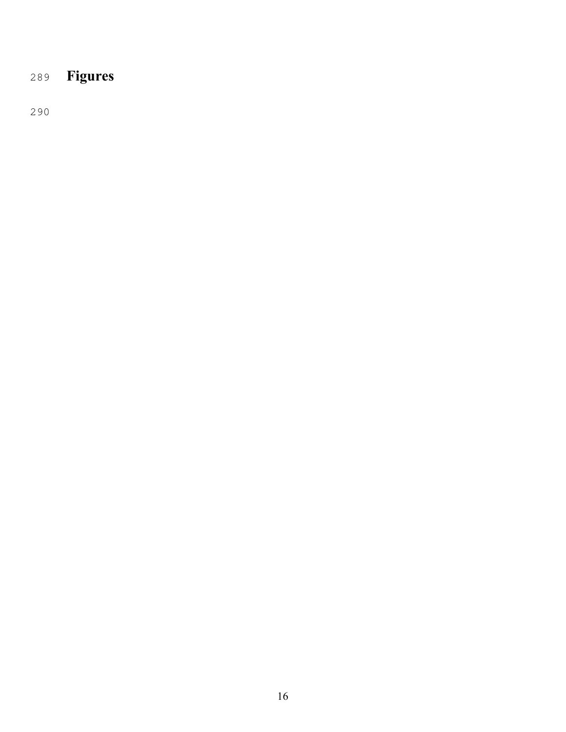# **Figures**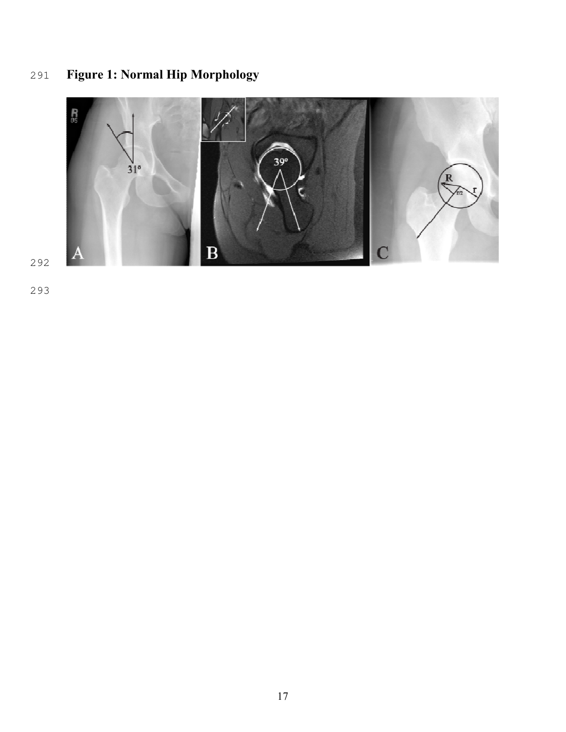# **Figure 1: Normal Hip Morphology**



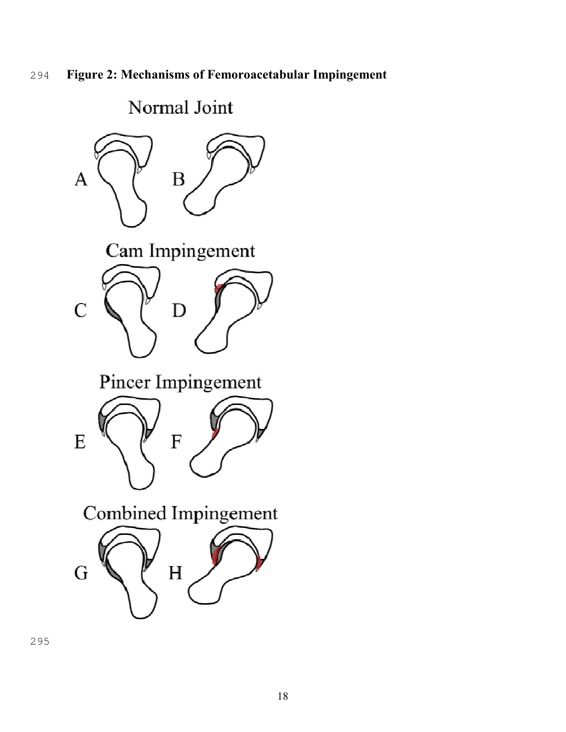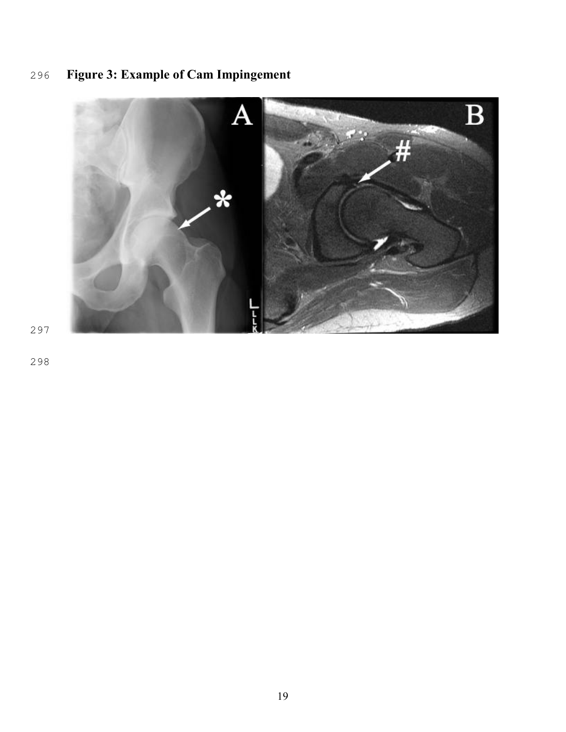# $\bf{B}$  $\overline{A}$

## **Figure 3: Example of Cam Impingement**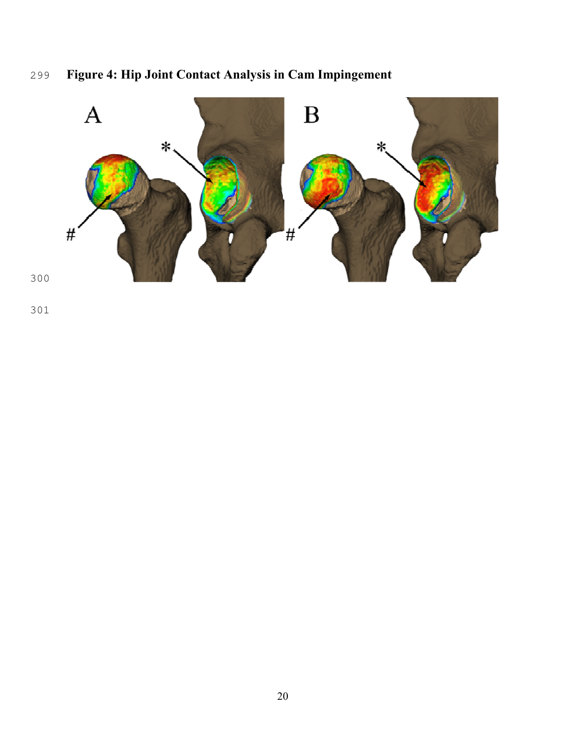## **Figure 4: Hip Joint Contact Analysis in Cam Impingement**

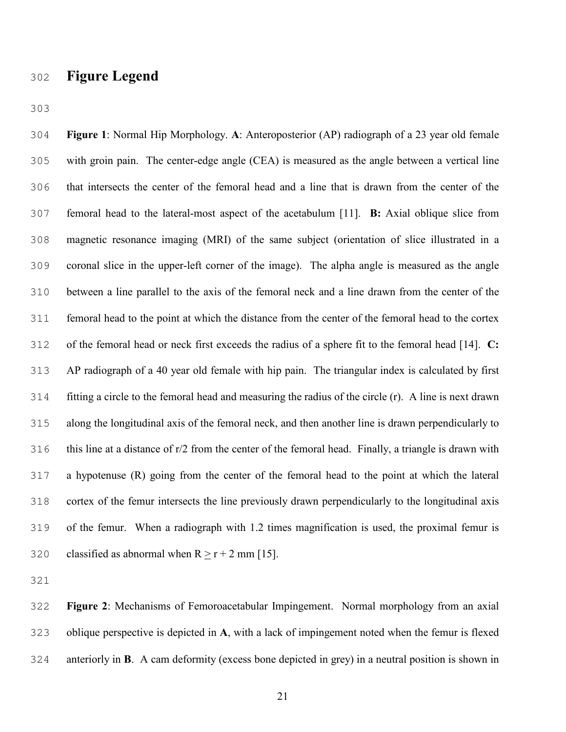## **Figure Legend**

**Figure 1**: Normal Hip Morphology. **A**: Anteroposterior (AP) radiograph of a 23 year old female with groin pain. The center-edge angle (CEA) is measured as the angle between a vertical line that intersects the center of the femoral head and a line that is drawn from the center of the femoral head to the lateral-most aspect of the acetabulum [11]. **B:** Axial oblique slice from magnetic resonance imaging (MRI) of the same subject (orientation of slice illustrated in a coronal slice in the upper-left corner of the image). The alpha angle is measured as the angle between a line parallel to the axis of the femoral neck and a line drawn from the center of the femoral head to the point at which the distance from the center of the femoral head to the cortex of the femoral head or neck first exceeds the radius of a sphere fit to the femoral head [14]. **C:** AP radiograph of a 40 year old female with hip pain. The triangular index is calculated by first fitting a circle to the femoral head and measuring the radius of the circle (r). A line is next drawn along the longitudinal axis of the femoral neck, and then another line is drawn perpendicularly to this line at a distance of r/2 from the center of the femoral head. Finally, a triangle is drawn with a hypotenuse (R) going from the center of the femoral head to the point at which the lateral cortex of the femur intersects the line previously drawn perpendicularly to the longitudinal axis of the femur. When a radiograph with 1.2 times magnification is used, the proximal femur is 320 classified as abnormal when  $R > r + 2$  mm [15].

**Figure 2**: Mechanisms of Femoroacetabular Impingement. Normal morphology from an axial oblique perspective is depicted in **A**, with a lack of impingement noted when the femur is flexed anteriorly in **B**. A cam deformity (excess bone depicted in grey) in a neutral position is shown in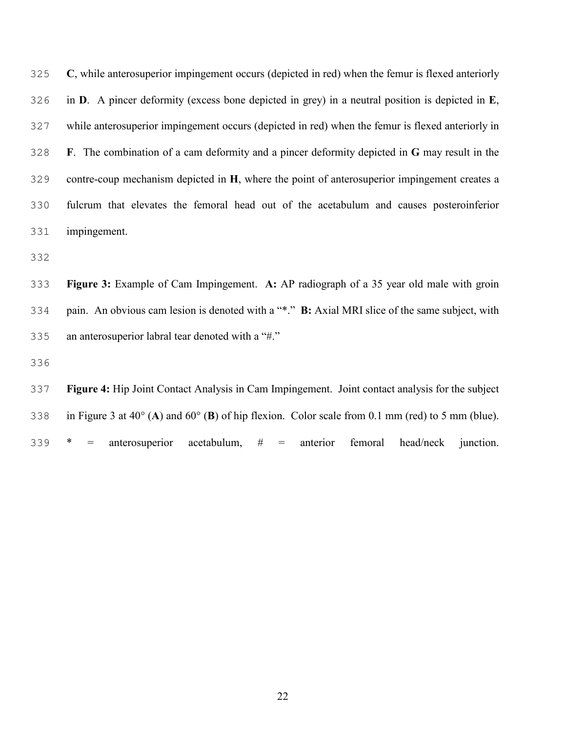| 325 | C, while anterosuperior impingement occurs (depicted in red) when the femur is flexed anteriorly      |
|-----|-------------------------------------------------------------------------------------------------------|
| 326 | in $D$ . A pincer deformity (excess bone depicted in grey) in a neutral position is depicted in $E$ , |
| 327 | while anterosuperior impingement occurs (depicted in red) when the femur is flexed anteriorly in      |
| 328 | F. The combination of a cam deformity and a pincer deformity depicted in G may result in the          |
| 329 | contre-coup mechanism depicted in H, where the point of anterosuperior impingement creates a          |
| 330 | fulcrum that elevates the femoral head out of the acetabulum and causes posteroinferior               |
| 331 | impingement.                                                                                          |

**Figure 3:** Example of Cam Impingement. **A:** AP radiograph of a 35 year old male with groin pain. An obvious cam lesion is denoted with a "\*." **B:** Axial MRI slice of the same subject, with an anterosuperior labral tear denoted with a "#."

**Figure 4:** Hip Joint Contact Analysis in Cam Impingement. Joint contact analysis for the subject in Figure 3 at 40° (**A**) and 60° (**B**) of hip flexion. Color scale from 0.1 mm (red) to 5 mm (blue). \* = anterosuperior acetabulum, # = anterior femoral head/neck junction.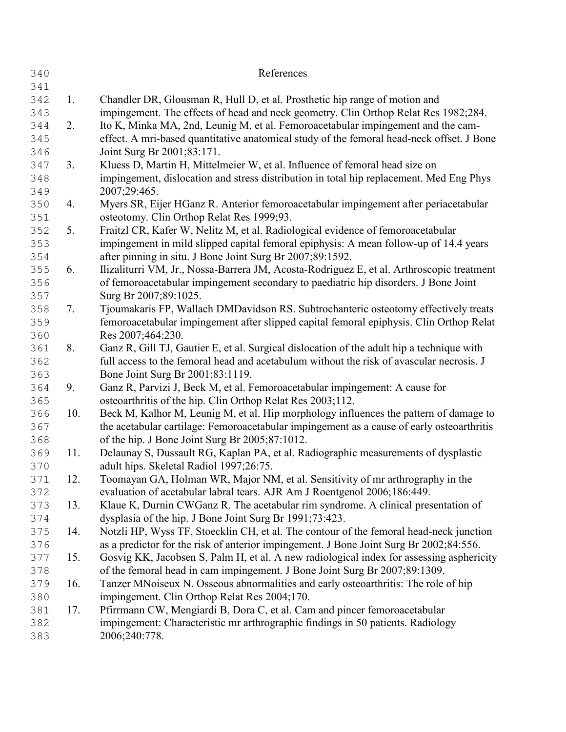| 340 |                | References                                                                                |
|-----|----------------|-------------------------------------------------------------------------------------------|
| 341 |                |                                                                                           |
| 342 | 1.             | Chandler DR, Glousman R, Hull D, et al. Prosthetic hip range of motion and                |
| 343 |                | impingement. The effects of head and neck geometry. Clin Orthop Relat Res 1982;284.       |
| 344 | 2.             | Ito K, Minka MA, 2nd, Leunig M, et al. Femoroacetabular impingement and the cam-          |
| 345 |                | effect. A mri-based quantitative anatomical study of the femoral head-neck offset. J Bone |
| 346 |                | Joint Surg Br 2001;83:171.                                                                |
| 347 | 3 <sub>1</sub> | Kluess D, Martin H, Mittelmeier W, et al. Influence of femoral head size on               |
| 348 |                | impingement, dislocation and stress distribution in total hip replacement. Med Eng Phys   |
| 349 |                | 2007;29:465.                                                                              |
| 350 | 4.             | Myers SR, Eijer HGanz R. Anterior femoroacetabular impingement after periacetabular       |
| 351 |                | osteotomy. Clin Orthop Relat Res 1999;93.                                                 |
| 352 | 5.             | Fraitzl CR, Kafer W, Nelitz M, et al. Radiological evidence of femoroacetabular           |
| 353 |                | impingement in mild slipped capital femoral epiphysis: A mean follow-up of 14.4 years     |
| 354 |                | after pinning in situ. J Bone Joint Surg Br 2007;89:1592.                                 |
| 355 | 6.             | Ilizaliturri VM, Jr., Nossa-Barrera JM, Acosta-Rodriguez E, et al. Arthroscopic treatment |
| 356 |                | of femoroacetabular impingement secondary to paediatric hip disorders. J Bone Joint       |
| 357 |                | Surg Br 2007;89:1025.                                                                     |
| 358 | 7.             | Tjoumakaris FP, Wallach DMDavidson RS. Subtrochanteric osteotomy effectively treats       |
| 359 |                | femoroacetabular impingement after slipped capital femoral epiphysis. Clin Orthop Relat   |
| 360 |                | Res 2007;464:230.                                                                         |
| 361 | 8.             | Ganz R, Gill TJ, Gautier E, et al. Surgical dislocation of the adult hip a technique with |
| 362 |                | full access to the femoral head and acetabulum without the risk of avascular necrosis. J  |
| 363 |                | Bone Joint Surg Br 2001;83:1119.                                                          |
| 364 | 9.             | Ganz R, Parvizi J, Beck M, et al. Femoroacetabular impingement: A cause for               |
| 365 |                | osteoarthritis of the hip. Clin Orthop Relat Res 2003;112.                                |
| 366 | 10.            | Beck M, Kalhor M, Leunig M, et al. Hip morphology influences the pattern of damage to     |
| 367 |                | the acetabular cartilage: Femoroacetabular impingement as a cause of early osteoarthritis |
| 368 |                | of the hip. J Bone Joint Surg Br 2005;87:1012.                                            |
| 369 | 11.            | Delaunay S, Dussault RG, Kaplan PA, et al. Radiographic measurements of dysplastic        |
| 370 |                | adult hips. Skeletal Radiol 1997;26:75.                                                   |
| 371 | 12.            | Toomayan GA, Holman WR, Major NM, et al. Sensitivity of mr arthrography in the            |
| 372 |                | evaluation of acetabular labral tears. AJR Am J Roentgenol 2006;186:449.                  |
| 373 | 13.            | Klaue K, Durnin CWGanz R. The acetabular rim syndrome. A clinical presentation of         |
| 374 |                | dysplasia of the hip. J Bone Joint Surg Br 1991;73:423.                                   |
| 375 | 14.            | Notzli HP, Wyss TF, Stoecklin CH, et al. The contour of the femoral head-neck junction    |
| 376 |                | as a predictor for the risk of anterior impingement. J Bone Joint Surg Br 2002;84:556.    |
| 377 | 15.            | Gosvig KK, Jacobsen S, Palm H, et al. A new radiological index for assessing asphericity  |
| 378 |                | of the femoral head in cam impingement. J Bone Joint Surg Br 2007;89:1309.                |
| 379 | 16.            | Tanzer MNoiseux N. Osseous abnormalities and early osteoarthritis: The role of hip        |
| 380 |                | impingement. Clin Orthop Relat Res 2004;170.                                              |
| 381 | 17.            | Pfirrmann CW, Mengiardi B, Dora C, et al. Cam and pincer femoroacetabular                 |
| 382 |                | impingement: Characteristic mr arthrographic findings in 50 patients. Radiology           |
| 383 |                | 2006;240:778.                                                                             |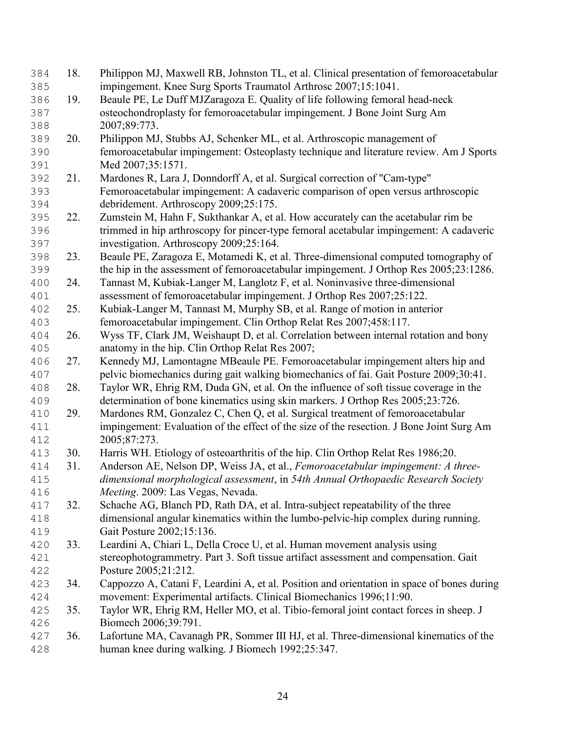| 384 | 18. | Philippon MJ, Maxwell RB, Johnston TL, et al. Clinical presentation of femoroacetabular    |
|-----|-----|--------------------------------------------------------------------------------------------|
| 385 |     | impingement. Knee Surg Sports Traumatol Arthrosc 2007;15:1041.                             |
| 386 | 19. | Beaule PE, Le Duff MJZaragoza E. Quality of life following femoral head-neck               |
| 387 |     | osteochondroplasty for femoroacetabular impingement. J Bone Joint Surg Am                  |
| 388 |     | 2007;89:773.                                                                               |
| 389 | 20. | Philippon MJ, Stubbs AJ, Schenker ML, et al. Arthroscopic management of                    |
| 390 |     | femoroacetabular impingement: Osteoplasty technique and literature review. Am J Sports     |
| 391 |     | Med 2007;35:1571.                                                                          |
| 392 | 21. | Mardones R, Lara J, Donndorff A, et al. Surgical correction of "Cam-type"                  |
| 393 |     | Femoroacetabular impingement: A cadaveric comparison of open versus arthroscopic           |
| 394 |     | debridement. Arthroscopy 2009;25:175.                                                      |
| 395 | 22. | Zumstein M, Hahn F, Sukthankar A, et al. How accurately can the acetabular rim be          |
| 396 |     | trimmed in hip arthroscopy for pincer-type femoral acetabular impingement: A cadaveric     |
| 397 |     | investigation. Arthroscopy 2009;25:164.                                                    |
| 398 | 23. | Beaule PE, Zaragoza E, Motamedi K, et al. Three-dimensional computed tomography of         |
| 399 |     | the hip in the assessment of femoroacetabular impingement. J Orthop Res 2005;23:1286.      |
| 400 | 24. | Tannast M, Kubiak-Langer M, Langlotz F, et al. Noninvasive three-dimensional               |
| 401 |     | assessment of femoroacetabular impingement. J Orthop Res 2007;25:122.                      |
| 402 | 25. | Kubiak-Langer M, Tannast M, Murphy SB, et al. Range of motion in anterior                  |
| 403 |     | femoroacetabular impingement. Clin Orthop Relat Res 2007;458:117.                          |
| 404 | 26. | Wyss TF, Clark JM, Weishaupt D, et al. Correlation between internal rotation and bony      |
| 405 |     | anatomy in the hip. Clin Orthop Relat Res 2007;                                            |
| 406 | 27. | Kennedy MJ, Lamontagne MBeaule PE. Femoroacetabular impingement alters hip and             |
| 407 |     | pelvic biomechanics during gait walking biomechanics of fai. Gait Posture 2009;30:41.      |
| 408 | 28. | Taylor WR, Ehrig RM, Duda GN, et al. On the influence of soft tissue coverage in the       |
| 409 |     | determination of bone kinematics using skin markers. J Orthop Res 2005;23:726.             |
| 410 | 29. | Mardones RM, Gonzalez C, Chen Q, et al. Surgical treatment of femoroacetabular             |
| 411 |     | impingement: Evaluation of the effect of the size of the resection. J Bone Joint Surg Am   |
| 412 |     | 2005;87:273.                                                                               |
| 413 | 30. | Harris WH. Etiology of osteoarthritis of the hip. Clin Orthop Relat Res 1986;20.           |
| 414 | 31. | Anderson AE, Nelson DP, Weiss JA, et al., Femoroacetabular impingement: A three-           |
| 415 |     | dimensional morphological assessment, in 54th Annual Orthopaedic Research Society          |
| 416 |     | Meeting. 2009: Las Vegas, Nevada.                                                          |
| 417 | 32. | Schache AG, Blanch PD, Rath DA, et al. Intra-subject repeatability of the three            |
| 418 |     | dimensional angular kinematics within the lumbo-pelvic-hip complex during running.         |
| 419 |     | Gait Posture 2002;15:136.                                                                  |
| 420 | 33. | Leardini A, Chiari L, Della Croce U, et al. Human movement analysis using                  |
| 421 |     | stereophotogrammetry. Part 3. Soft tissue artifact assessment and compensation. Gait       |
| 422 |     | Posture 2005;21:212.                                                                       |
| 423 | 34. | Cappozzo A, Catani F, Leardini A, et al. Position and orientation in space of bones during |
| 424 |     | movement: Experimental artifacts. Clinical Biomechanics 1996;11:90.                        |
| 425 | 35. | Taylor WR, Ehrig RM, Heller MO, et al. Tibio-femoral joint contact forces in sheep. J      |
| 426 |     | Biomech 2006;39:791.                                                                       |
| 427 | 36. | Lafortune MA, Cavanagh PR, Sommer III HJ, et al. Three-dimensional kinematics of the       |
| 428 |     | human knee during walking. J Biomech 1992;25:347.                                          |